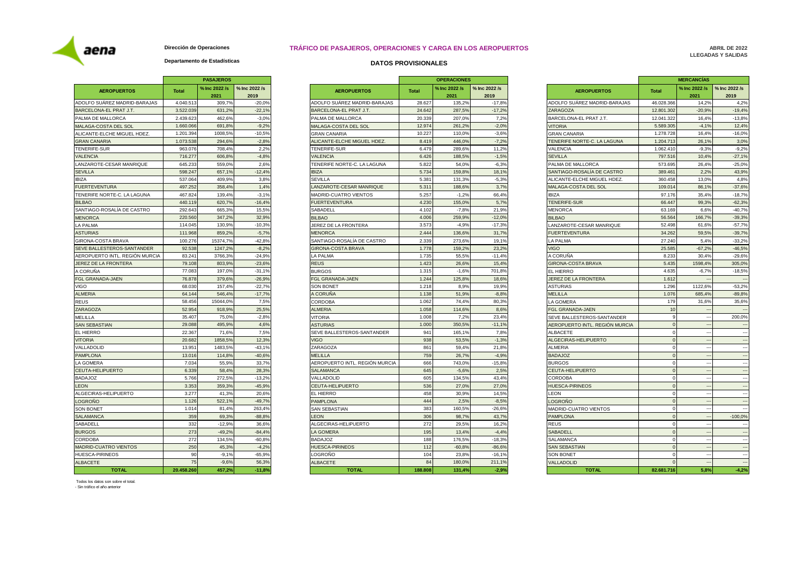aena

**Dirección de Operaciones**

## **TRÁFICO DE PASAJEROS, OPERACIONES Y CARGA EN LOS AEROPUERTOS**

**ABRIL DE 2022 LLEGADAS Y SALIDAS**

## **Departamento de Estadísticas**

|                                |              | <b>PASAJEROS</b>      |                       |                       |
|--------------------------------|--------------|-----------------------|-----------------------|-----------------------|
| <b>AEROPUERTOS</b>             | <b>Total</b> | % Inc 2022 /s<br>2021 | % Inc 2022 /s<br>2019 | Δ                     |
| ADOLFO SUAREZ MADRID-BARAJAS   | 4.040.513    | 309,7%                | $-20,0%$              | ADOLFO SU             |
| BARCELONA-EL PRAT J.T.         | 3.522.039    | 631,2%                | $-22,1%$              | <b>BARCELONA</b>      |
| PALMA DE MALLORCA              | 2.439.623    | 462,6%                | $-3,0%$               | PALMA DE M            |
| MALAGA-COSTA DEL SOL           | 1.660.066    | 691,8%                | $-9,2%$               | MALAGA-CC             |
| ALICANTE-ELCHE MIGUEL HDEZ.    | 1.201.394    | 1008,5%               | $-10,5%$              | <b>GRAN CANA</b>      |
| <b>GRAN CANARIA</b>            | 1.073.538    | 294,6%                | $-2,8%$               | ALICANTE-E            |
| TENERIFE-SUR                   | 963.076      | 708,4%                | 2,2%                  | <b>TENERIFE-S</b>     |
| <b>VALENCIA</b>                | 716.277      | 606,8%                | $-4.8%$               | <b>VALENCIA</b>       |
| LANZAROTE-CESAR MANRIQUE       | 645.233      | 559,0%                | 2,6%                  | <b>TENERIFE N</b>     |
| <b>SEVILLA</b>                 | 598.247      | 657,1%                | $-12,4%$              | <b>IBIZA</b>          |
| <b>IBIZA</b>                   | 537.064      | 409,9%                | 3,8%                  | <b>SEVILLA</b>        |
| <b>FUERTEVENTURA</b>           | 497.252      | 358,4%                | 1,4%                  | LANZAROTE             |
| TENERIFE NORTE-C. LA LAGUNA    | 467.824      | 139,4%                | $-3,1%$               | MADRID-CU.            |
| <b>BILBAO</b>                  | 440.119      | 620,7%                | $-16.4%$              | <b>FUERTEVEN</b>      |
| SANTIAGO-ROSALÍA DE CASTRO     | 292.643      | 665,3%                | 15,5%                 | SABADELL              |
| <b>MENORCA</b>                 | 220.560      | 347,2%                | 32,9%                 | <b>BILBAO</b>         |
| <b>LA PALMA</b>                | 114.045      | 130,9%                | $-10,3%$              | JEREZ DE L            |
| <b>ASTURIAS</b>                | 111.968      | 859,2%                | $-5,7%$               | <b>MENORCA</b>        |
| GIRONA-COSTA BRAVA             | 100.276      | 15374,7%              | $-42,8%$              | SANTIAGO-F            |
| SEVE BALLESTEROS-SANTANDER     | 92.538       | 1247,2%               | $-8,2%$               | <b>GIRONA-CO</b>      |
| AEROPUERTO INTL. REGIÓN MURCIA | 83.241       | 3766,3%               | $-24,9%$              | LA PALMA              |
| JEREZ DE LA FRONTERA           | 79.108       | 803.9%                | $-23,6%$              | <b>REUS</b>           |
| A CORUÑA                       | 77.083       | 197,0%                | $-31,1%$              | <b>BURGOS</b>         |
| FGL GRANADA-JAEN               | 76.878       | 379,6%                | $-26,9%$              | <b>FGL GRANA</b>      |
| <b>VIGO</b>                    | 68.030       | 157,4%                | $-22,7%$              | <b>SON BONET</b>      |
| <b>ALMERIA</b>                 | 64.144       | 546,4%                | $-17,7%$              | A CORUÑA              |
| <b>REUS</b>                    | 58.456       | 15044,0%              | 7,5%                  | <b>CORDOBA</b>        |
| ZARAGOZA                       | 52.954       | 918,9%                | 25,5%                 | <b>ALMERIA</b>        |
| <b>MELILLA</b>                 | 35.407       | 75,0%                 | $-2.8%$               | VITORIA               |
| <b>SAN SEBASTIAN</b>           | 29.088       | 495,9%                | 4,6%                  | <b>ASTURIAS</b>       |
| EL HIERRO                      | 22.367       | 71,6%                 | 7,5%                  | <b>SEVE BALLE</b>     |
| <b>VITORIA</b>                 | 20.682       | 1858,5%               | 12,3%                 | <b>VIGO</b>           |
| VALLADOLID                     | 13.951       | 1483,5%               | $-43,1%$              | ZARAGOZA              |
| <b>PAMPLONA</b>                | 13.016       | 114,8%                | $-40,6%$              | <b>MELILLA</b>        |
| LA GOMERA                      | 7.034        | 55,9%                 | 33,7%                 | AEROPUER <sup>®</sup> |
| CEUTA-HELIPUERTO               | 6.339        | 58,4%                 | 28,3%                 | <b>SALAMANCA</b>      |
| <b>BADAJOZ</b>                 | 5.766        | 272,5%                | $-13.2%$              | VALLADOLID            |
| <b>LEON</b>                    | 3.353        | 359,3%                | $-45,9%$              | CEUTA-HELI            |
| ALGECIRAS-HELIPUERTO           | 3.277        | 41,3%                 | 20,6%                 | EL HIERRO             |
| <b>LOGROÑO</b>                 | 1.126        | 522,1%                | $-49,7%$              | <b>PAMPLONA</b>       |
| <b>SON BONET</b>               | 1.014        | 81,4%                 | 263,4%                | <b>SAN SEBAS</b>      |
| <b>SALAMANCA</b>               | 359          | 69,3%                 | $-88.8%$              | <b>LEON</b>           |
| SABADELL                       | 332          | $-12.9%$              | 36,6%                 | <b>ALGECIRAS</b>      |
| <b>BURGOS</b>                  | 273          | $-49,2%$              | $-84.4%$              | <b>LA GOMERA</b>      |
| <b>CORDOBA</b>                 | 272          | 134,5%                | $-60,8%$              | <b>BADAJOZ</b>        |
| MADRID-CUATRO VIENTOS          | 250          | 45,3%                 | $-4,2%$               | <b>HUESCA-PIF</b>     |
| HUESCA-PIRINEOS                | 90           | $-9,1%$               | $-65,9%$              | LOGROÑO               |
| <b>ALBACETE</b>                | 75           | $-9,6%$               | 56,3%                 | <b>ALBACETE</b>       |
|                                |              |                       |                       |                       |

| <b>DATOS PROVISIONALES</b> |  |  |
|----------------------------|--|--|
|----------------------------|--|--|

|                                |              | PASAJEROS             |                       |                                |              | <b>OPERACIONES</b>    |                       |                                |              | <b>MERCANCIAS</b>     |
|--------------------------------|--------------|-----------------------|-----------------------|--------------------------------|--------------|-----------------------|-----------------------|--------------------------------|--------------|-----------------------|
| <b>AEROPUERTOS</b>             | <b>Total</b> | % Inc 2022 /s<br>2021 | % Inc 2022 /s<br>2019 | <b>AEROPUERTOS</b>             | <b>Total</b> | % Inc 2022 /s<br>2021 | % Inc 2022 /s<br>2019 | <b>AEROPUERTOS</b>             | <b>Total</b> | % Inc 2022 /s<br>2021 |
| ADOLFO SUÁREZ MADRID-BARAJAS   | 4.040.51     | 309,79                | $-20,0%$              | ADOLFO SUÁREZ MADRID-BARAJAS   | 28.627       | 135,2%                | $-17,8%$              | ADOLFO SUÁREZ MADRID-BARAJAS   | 46.028.366   | 14,2%                 |
| BARCELONA-EL PRAT J.T.         | 3.522.03     | 631,29                | $-22,1%$              | BARCELONA-EL PRAT J.T.         | 24.642       | 287,5%                | $-17,2%$              | ZARAGOZA                       | 12.801.302   | $-20.9%$              |
| PALMA DE MALLORCA              | 2.439.62     | 462.6%                | $-3.0%$               | PALMA DE MALLORCA              | 20,339       | 207.0%                | 7.2%                  | BARCELONA-EL PRAT J.T.         | 12.041.322   | 16.4%                 |
| MALAGA-COSTA DEL SOL           | 1.660.06     | 691.89                | $-9.2%$               | MALAGA-COSTA DEL SOL           | 12,974       | 261.2%                | $-2.0%$               | <b>VITORIA</b>                 | 5.589.30     | $-4,1%$               |
| ALICANTE-ELCHE MIGUEL HDEZ     | 1.201.39     | 1008.5                | $-10,5%$              | <b>GRAN CANARIA</b>            | 10.227       | 110.09                | $-3.6%$               | <b>GRAN CANARIA</b>            | 1.278.728    | 16.4%                 |
| <b>GRAN CANARIA</b>            | 1.073.53     | 294,69                | $-2,8%$               | ALICANTE-ELCHE MIGUEL HDEZ.    | 8.419        | 446,0%                | $-7,2%$               | TENERIFE NORTE-C. LA LAGUNA    | 1.204.71     | 26,1%                 |
| TENERIFE-SUR                   | 963.07       | 708.4%                | 2,2%                  | <b>TENERIFE-SUR</b>            | 6.479        | 289.6%                | 11.2%                 | <b>VALENCIA</b>                | 1.062.41     | $-9.3%$               |
| <b>VALENCIA</b>                | 716.27       | 606.8%                | $-4.8%$               | VALENCIA                       | 6.426        | 188.5%                | $-1,5%$               | <b>SEVILLA</b>                 | 797.516      | 10.4%                 |
| LANZAROTE-CESAR MANRIQUE       | 645.23       | 559.0                 | 2.6%                  | TENERIFE NORTE-C. LA LAGUNA    | 5.822        | 54.0%                 | $-6.3%$               | PALMA DE MALLORCA              | 573.695      | 26.4%                 |
| <b>SEVILLA</b>                 | 598.24       | 657,1%                | $-12,4%$              | <b>IBIZA</b>                   | 5.734        | 159.8%                | 18,1%                 | SANTIAGO-ROSALÍA DE CASTRO     | 389.461      | 2.2%                  |
| <b>IBIZA</b>                   | 537.064      | 409,9%                | 3,8%                  | SEVILLA                        | 5.381        | 131,3%                | $-5,3%$               | ALICANTE-ELCHE MIGUEL HDEZ.    | 360.458      | 13,0%                 |
| <b>FUERTEVENTURA</b>           | 497.252      | 358.4%                | 1.4%                  | <b>ANZAROTE-CESAR MANRIQUE</b> | 5.311        | 188.6%                | 3.7%                  | MALAGA-COSTA DEL SOL           | 109.014      | 86.1%                 |
| TENERIFE NORTE-C. LA LAGUNA    | 467.82       | 139.4%                | $-3.1%$               | <b>MADRID-CUATRO VIENTOS</b>   | 5.257        | $-1.2%$               | 66.4%                 | <b>BIZA</b>                    | 97.176       | 35.4%                 |
| <b>BILBAO</b>                  | 440.11       | 620.79                | $-16,4%$              | <b>FUERTEVENTURA</b>           | 4.230        | 155.0%                | 5.7%                  | TENERIFE-SUR                   | 66,447       | 99.3%                 |
| SANTIAGO-ROSALÍA DE CASTRO     | 292.643      | 665.39                | 15,5%                 | SABADELL                       | 4.102        | $-7.8%$               | 21.9%                 | <b>MENORCA</b>                 | 63.169       | 6.6%                  |
| <b>MENORCA</b>                 | 220.56       | 347,2%                | 32,9%                 | <b>BILBAO</b>                  | 4.006        | 259,9%                | $-12,0%$              | <b>BILBAO</b>                  | 56.564       | 166,7%                |
| LA PALMA                       | 114.04       | 130.99                | $-10.3%$              | <b>IEREZ DE LA FRONTERA</b>    | 3.573        | $-4.9%$               | $-17.3%$              | LANZAROTE-CESAR MANRIQUE       | 52,498       | 61.6%                 |
| <b>ASTURIAS</b>                | 111,96       | 859.2                 | $-5.7%$               | <b>MENORCA</b>                 | 2.444        | 136.6%                | 31.7%                 | <b>FUERTEVENTURA</b>           | 34.262       | 59.59                 |
| <b>GIRONA-COSTA BRAVA</b>      | 100.27       | 15374,79              | $-42,8%$              | SANTIAGO-ROSALÍA DE CASTRO     | 2.339        | 273,6%                | 19,1%                 | LA PALMA                       | 27.240       | 5,4%                  |
| SEVE BALLESTEROS-SANTANDER     | 92.53        | 1247,29               | $-8,2%$               | <b>GIRONA-COSTA BRAVA</b>      | 1.778        | 159,2%                | 23,2%                 | /IGO                           | 25.585       | $-67,2%$              |
| AEROPUERTO INTL. REGIÓN MURCIA | 83.24        | 3766,39               | $-24,9%$              | A PALMA                        | 1.735        | 55,5%                 | $-11,4%$              | A CORUÑA                       | 8.233        | 30,4%                 |
| <b>JEREZ DE LA FRONTERA</b>    | 79,108       | 803.9                 | $-23.6%$              | <b>REUS</b>                    | 1.423        | $26.6^{\circ}$        | 15.4%                 | <b>GIRONA-COSTA BRAVA</b>      | 5.435        | 1598.49               |
| A CORUÑA                       | 77.08        | 197.0                 | $-31,1%$              | <b>BURGOS</b>                  | 1.315        | $-1,69$               | 701.8%                | <b>FL HIERRO</b>               | 4.635        | $-6,7%$               |
| <b>FGL GRANADA-JAEN</b>        | 76.87        | 379,69                | $-26,9%$              | <b>FGL GRANADA-JAEN</b>        | 1.244        | 125,8%                | 18,6%                 | JEREZ DE LA FRONTERA           | 1.612        |                       |
| <b>VIGO</b>                    | 68.03        | 157,49                | $-22,7%$              | SON BONET                      | 1.218        | 8,9%                  | 19,9%                 | <b>ASTURIAS</b>                | 1.296        | 1122,6%               |
| <b>ALMERIA</b>                 | 64.14        | 546.49                | $-17,7%$              | <b>\ CORUÑA</b>                | 1.138        | 51.9%                 | $-8,8%$               | MELILLA                        | 1.076        | 685.4%                |
| <b>REUS</b>                    | 58,456       | 15044.0               | 7,5%                  | CORDOBA                        | 1.062        | 74.4%                 | 80.3%                 | LA GOMERA                      | 179          | 31.6%                 |
| ZARAGOZA                       | 52.95        | 918.99                | 25,5%                 | <b>ALMERIA</b>                 | 1.058        | 114,6%                | 8,6%                  | FGL GRANADA-JAEN               | 10           |                       |
| MELILLA                        | 35.407       | 75,0 <sup>o</sup>     | $-2,8%$               | /ITORIA                        | 1.008        | 7,2%                  | 23,4%                 | SEVE BALLESTEROS-SANTANDER     |              |                       |
| <b>SAN SEBASTIAN</b>           | 29,088       | 495,9                 | 4,6%                  | ASTURIAS                       | 1.000        | 350,5%                | $-11,1%$              | AEROPUERTO INTL. REGIÓN MURCIA |              |                       |
| EL HIERRO                      | 22.36        | 71.69                 | 7.5%                  | SEVE BALLESTEROS-SANTANDER     | 941          | 165.19                | 7.8%                  | ALBACETE                       |              |                       |
| <b>VITORIA</b>                 | 20.68        | 1858.5                | 12.3%                 | /IGO                           | 938          | 53.5%                 | $-1.3%$               | ALGECIRAS-HELIPUERTO           |              |                       |
| VALLADOLID                     | 13.95        | 1483,5                | $-43,1%$              | ZARAGOZA                       | 861          | 59,4%                 | 21,8%                 | ALMERIA                        |              |                       |
| PAMPLONA                       | 13.01        | 114,89                | $-40,6%$              | MELILLA                        | 759          | 26,7%                 | $-4,9%$               | <b>BADAJOZ</b>                 |              |                       |
| LA GOMERA                      | 7.03         | 55,99                 | 33,7%                 | AEROPUERTO INTL. REGIÓN MURCIA | 666          | 743,0%                | $-15,8%$              | <b>BURGOS</b>                  |              |                       |
| CEUTA-HELIPUERTO               | 6.33         | 58.4 <sup>°</sup>     | 28.3%                 | SALAMANCA                      | 645          | $-5,69$               | 2,5%                  | CEUTA-HELIPUERTO               |              |                       |
| <b>BADAJOZ</b>                 | 5.766        | 272,5%                | $-13,2%$              | <b>/ALLADOLID</b>              | 605          | 134,5%                | 43,4%                 | CORDOBA                        |              |                       |
|                                | 3.353        | 359,3%                | $-45,9%$              |                                | 536          | 27,0%                 | 27,0%                 |                                |              |                       |
| LEON<br>ALGECIRAS-HELIPUERTO   | 3.277        | 41,3%                 | 20,6%                 | CEUTA-HELIPUERTO<br>EL HIERRO  | 458          | 30,9%                 | 14,5%                 | HUESCA-PIRINEOS<br><b>EON</b>  |              |                       |
| LOGROÑO                        | 1.126        | 522,1%                | $-49,7%$              | <b>PAMPLONA</b>                | 444          | 2.5%                  | $-8,5%$               | <b>LOGROÑO</b>                 |              |                       |
|                                | 1.014        | 81.4%                 | 263.4%                |                                | 383          | 160.5%                | $-26.6%$              |                                |              |                       |
| <b>SON BONET</b>               | 359          | 69,3 <sup>o</sup>     | $-88,8%$              | <b>SAN SEBASTIAN</b>           | 306          |                       | 43,7%                 | MADRID-CUATRO VIENTOS          |              |                       |
| SALAMANCA                      |              |                       |                       | <b>EON</b>                     |              | 98,7%                 |                       | <b>PAMPLONA</b>                |              |                       |
| SABADELL                       | 332          | $-12.99$              | 36,6%                 | ALGECIRAS-HELIPUERTO           | 272          | 29,5%                 | 16,2%                 | <b>REUS</b>                    |              |                       |
| <b>BURGOS</b>                  | 273          | $-49.29$              | $-84,4%$              | LA GOMERA                      | 195          | 13,4%                 | $-4,4%$               | SABADELL                       |              |                       |
| CORDOBA                        | 272          | 134.5%                | $-60,8%$              | BADAJOZ                        | 188          | 176,5%                | $-18.3%$              | SALAMANCA                      |              |                       |
| <b>MADRID-CUATRO VIENTOS</b>   | 250          | 45.3%                 | $-4.2%$               | HUESCA-PIRINEOS                | 112          | $-60.8%$              | $-86.6%$              | <b>SAN SEBASTIAN</b>           |              |                       |
| HUESCA-PIRINEOS                | 90           | $-9,1%$               | $-65,9%$              | OGRONO                         | 104          | 23,8%                 | $-16,1%$              | SON BONET                      |              |                       |
| <b>ALBACETE</b>                | 75           | $-9,6%$               | 56,3%                 | <b>ALBACETE</b>                | 84           | 180,0%                | 211,1%                | VALLADOLID                     |              |                       |
| <b>TOTAL</b>                   | 20.458.260   | 457,2%                | $-11,8%$              | <b>TOTAL</b>                   | 188.808      | 131,4%                | $-2,9%$               | <b>TOTAL</b>                   | 82.681.716   | 5,8%                  |

|              | <b>OPERACIONES</b> |                                     |                                | <b>MERCANCÍAS</b> |                          |                          |  |  |
|--------------|--------------------|-------------------------------------|--------------------------------|-------------------|--------------------------|--------------------------|--|--|
| <b>Total</b> | % Inc 2022 /s      | % Inc 2022 /s<br><b>AEROPUERTOS</b> |                                | <b>Total</b>      | % Inc 2022 /s            | % Inc 2022 /s            |  |  |
|              | 2021               | 2019                                |                                |                   | 2021                     | 2019                     |  |  |
| 28.627       | 135,2%             | $-17,8%$                            | ADOLFO SUÁREZ MADRID-BARAJAS   | 46.028.366        | 14,2%                    | 4,2%                     |  |  |
| 24.642       | 287,5%             | $-17,2%$                            | ZARAGOZA                       | 12.801.302        | $-20,9%$                 | $-19,4%$                 |  |  |
| 20.339       | 207,0%             | 7,2%                                | BARCELONA-EL PRAT J.T.         | 12.041.322        | 16,4%                    | $-13,8%$                 |  |  |
| 12.974       | 261,2%             | $-2,0%$                             | <b>VITORIA</b>                 | 5.589.305         | $-4,1%$                  | 12,4%                    |  |  |
| 10.227       | 110,0%             | $-3,6%$                             | <b>GRAN CANARIA</b>            | 1.278.728         | 16,4%                    | $-16,0%$                 |  |  |
| 8.419        | 446.0%             | $-7.2%$                             | TENERIFE NORTE-C. LA LAGUNA    | 1.204.713         | 26.1%                    | 3.0%                     |  |  |
| 6.479        | 289,6%             | 11,2%                               | VALENCIA                       | 1.062.410         | $-9,3%$                  | $-9,2%$                  |  |  |
| 6.426        | 188,5%             | $-1,5%$                             | <b>SEVILLA</b>                 | 797.516           | 10,4%                    | $-27,1%$                 |  |  |
| 5.822        | 54,0%              | $-6,3%$                             | PALMA DE MALLORCA              | 573.695           | 26,4%                    | $-25,0%$                 |  |  |
| 5.734        | 159,8%             | 18,1%                               | SANTIAGO-ROSALÍA DE CASTRO     | 389.461           | 2,2%                     | 43,9%                    |  |  |
| 5.381        | 131,3%             | $-5.3%$                             | ALICANTE-ELCHE MIGUEL HDEZ.    | 360.458           | 13.0%                    | 4.8%                     |  |  |
| 5.311        | 188,6%             | 3,7%                                | MALAGA-COSTA DEL SOL           | 109.014           | 86,1%                    | $-37,6%$                 |  |  |
| 5.257        | $-1,2%$            | 66,4%                               | <b>IBIZA</b>                   | 97.176            | 35,4%                    | $-18,7%$                 |  |  |
| 4.230        | 155,0%             | 5,7%                                | TENERIFE-SUR                   | 66.447            | 99,3%                    | $-62,3%$                 |  |  |
| 4.102        | $-7,8%$            | 21,9%                               | <b>MENORCA</b>                 | 63.169            | 6,6%                     | $-40,7%$                 |  |  |
| 4.006        | 259.9%             | $-12.0%$                            | <b>BILBAO</b>                  | 56.564            | 166.7%                   | $-39.3%$                 |  |  |
| 3.573        | $-4,9%$            | $-17,3%$                            | LANZAROTE-CESAR MANRIQUE       | 52.498            | 61,6%                    | $-57,7%$                 |  |  |
| 2.444        | 136,6%             | 31,7%                               | <b>FUERTEVENTURA</b>           | 34.262            | 59,5%                    | $-39,7%$                 |  |  |
| 2.339        | 273,6%             | 19,1%                               | LA PALMA                       | 27.240            | 5,4%                     | $-33,2%$                 |  |  |
| 1.778        | 159,2%             | 23,2%                               | <b>VIGO</b>                    | 25.585            | $-67,2%$                 | $-46,5%$                 |  |  |
| 1.735        | 55,5%              | $-11.4%$                            | A CORUÑA                       | 8.233             | 30,4%                    | $-29,6%$                 |  |  |
| 1.423        | 26,6%              | 15,4%                               | <b>GIRONA-COSTA BRAVA</b>      | 5.435             | 1598,4%                  | 305,0%                   |  |  |
| 1.315        | $-1,6%$            | 701,8%                              | EL HIERRO                      | 4.635             | $-6,7%$                  | $-18,5%$                 |  |  |
| 1.244        | 125,8%             | 18,6%                               | JEREZ DE LA FRONTERA           | 1.612             |                          |                          |  |  |
| 1.218        | 8.9%               | 19.9%                               | <b>ASTURIAS</b>                | 1.296             | 1122.6%                  | $-53.2%$                 |  |  |
| 1.138        | 51,9%              | $-8.8%$                             | <b>MELILLA</b>                 | 1.076             | 685.4%                   | $-89.8%$                 |  |  |
| 1.062        | 74,4%              | 80,3%                               | LA GOMERA                      | 179               | 31,6%                    | 35,6%                    |  |  |
| 1.058        | 114,6%             | 8,6%                                | FGL GRANADA-JAEN               | 10                |                          |                          |  |  |
| 1.008        | 7,2%               | 23,4%                               | SEVE BALLESTEROS-SANTANDER     | 9                 | $\overline{\phantom{a}}$ | 200,0%                   |  |  |
| 1.000        | 350,5%             | $-11,1%$                            | AEROPUERTO INTL. REGIÓN MURCIA | $\overline{0}$    |                          |                          |  |  |
| 941          | 165,1%             | 7,8%                                | <b>ALBACETE</b>                | $\mathbf 0$       | ---                      | $\ddot{\phantom{a}}$     |  |  |
| 938          | 53,5%              | $-1,3%$                             | ALGECIRAS-HELIPUERTO           | $\mathbf 0$       |                          |                          |  |  |
| 861          | 59,4%              | 21,8%                               | ALMERIA                        | $\mathbf 0$       | $\sim$                   | $\overline{\phantom{a}}$ |  |  |
| 759          | 26,7%              | $-4,9%$                             | <b>BADAJOZ</b>                 | $\mathbf 0$       | $\overline{\phantom{a}}$ | $\overline{\phantom{a}}$ |  |  |
| 666          | 743.0%             | $-15.8%$                            | <b>BURGOS</b>                  | $\Omega$          | $\ddotsc$                | $\ddotsc$                |  |  |
| 645          | $-5,6%$            | 2,5%                                | CEUTA-HELIPUERTO               | $\overline{0}$    | $\ddot{\phantom{a}}$     | Ξ.                       |  |  |
| 605          | 134,5%             | 43,4%                               | CORDOBA                        | $\mathbf 0$       | Ξ.                       | $\overline{\phantom{a}}$ |  |  |
| 536          | 27,0%              | 27,0%                               | <b>HUESCA-PIRINEOS</b>         | $\overline{0}$    | $\overline{\phantom{a}}$ | $\overline{\phantom{a}}$ |  |  |
| 458          | 30,9%              | 14,5%                               | LEON                           | $\mathbf 0$       | $\overline{\phantom{a}}$ | $\overline{\phantom{a}}$ |  |  |
| 444          | 2,5%               | $-8,5%$                             | LOGROÑO                        | $\overline{0}$    | $\overline{\phantom{a}}$ | $\overline{\phantom{a}}$ |  |  |
| 383          | 160,5%             | $-26,6%$                            | MADRID-CUATRO VIENTOS          | 0                 | ---                      |                          |  |  |
| 306          | 98,7%              | 43,7%                               | <b>PAMPLONA</b>                | $\mathbf 0$       | $\overline{\phantom{a}}$ | $-100,0%$                |  |  |
| 272          | 29,5%              | 16,2%                               | <b>REUS</b>                    | $\mathbf 0$       | $\overline{\phantom{a}}$ | н.                       |  |  |
| 195          | 13,4%              | $-4,4%$                             | <b>SABADELL</b>                | $\mathbf 0$       | $\overline{a}$           | --                       |  |  |
| 188          | 176.5%             | $-18.3%$                            | SALAMANCA                      | $\mathbf 0$       | $\overline{\phantom{a}}$ | Ξ.                       |  |  |
| 112          | $-60,8%$           | $-86,6%$                            | <b>SAN SEBASTIAN</b>           | $\overline{0}$    |                          |                          |  |  |
| 104          | 23,8%              | $-16,1%$                            | SON BONET                      | $\mathbf{0}$      |                          |                          |  |  |
| 84           | 180,0%             | 211,1%                              | VALLADOLID                     | $\overline{0}$    | $\overline{\phantom{a}}$ |                          |  |  |
| 199,909      | 121.4%             | 200                                 | TOTAL                          | 92.694.746        | <b>E 90/-</b>            | $A$ 20 $L$               |  |  |

Todos los datos son sobre el total.

- Sin tráfico el año anterior